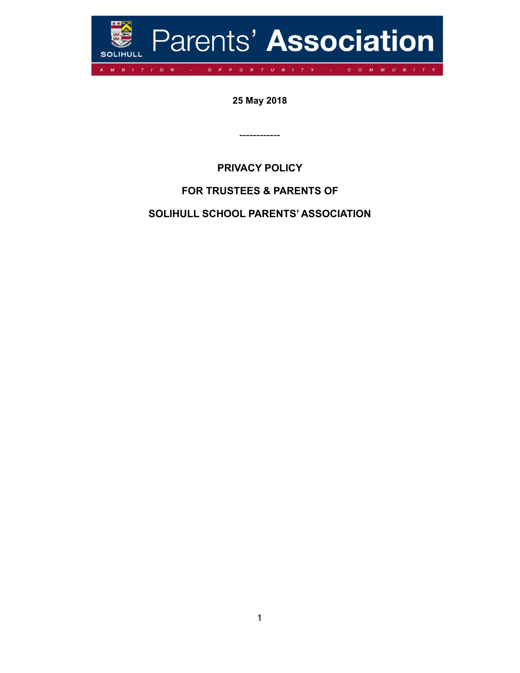

**25 May 2018**

**PRIVACY POLICY** 

------------

# **FOR TRUSTEES & PARENTS OF**

**SOLIHULL SCHOOL PARENTS' ASSOCIATION**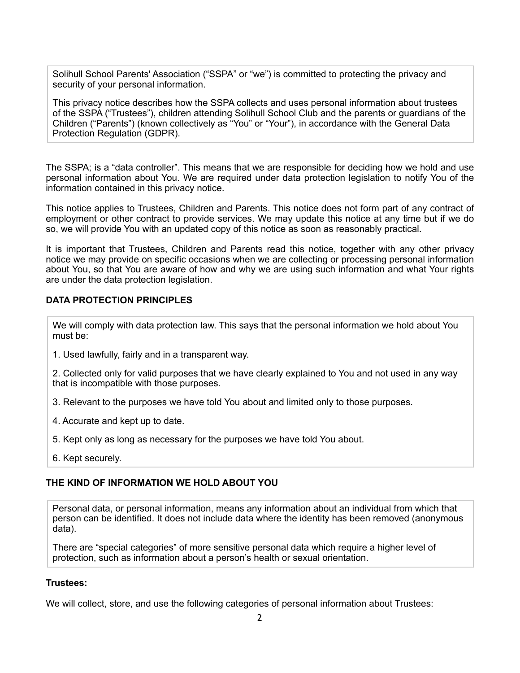Solihull School Parents' Association ("SSPA" or "we") is committed to protecting the privacy and security of your personal information.

This privacy notice describes how the SSPA collects and uses personal information about trustees of the SSPA ("Trustees"), children attending Solihull School Club and the parents or guardians of the Children ("Parents") (known collectively as "You" or "Your"), in accordance with the General Data Protection Regulation (GDPR).

The SSPA; is a "data controller". This means that we are responsible for deciding how we hold and use personal information about You. We are required under data protection legislation to notify You of the information contained in this privacy notice.

This notice applies to Trustees, Children and Parents. This notice does not form part of any contract of employment or other contract to provide services. We may update this notice at any time but if we do so, we will provide You with an updated copy of this notice as soon as reasonably practical.

It is important that Trustees, Children and Parents read this notice, together with any other privacy notice we may provide on specific occasions when we are collecting or processing personal information about You, so that You are aware of how and why we are using such information and what Your rights are under the data protection legislation.

# **DATA PROTECTION PRINCIPLES**

We will comply with data protection law. This says that the personal information we hold about You must be:

1. Used lawfully, fairly and in a transparent way.

2. Collected only for valid purposes that we have clearly explained to You and not used in any way that is incompatible with those purposes.

- 3. Relevant to the purposes we have told You about and limited only to those purposes.
- 4. Accurate and kept up to date.
- 5. Kept only as long as necessary for the purposes we have told You about.
- 6. Kept securely.

### **THE KIND OF INFORMATION WE HOLD ABOUT YOU**

Personal data, or personal information, means any information about an individual from which that person can be identified. It does not include data where the identity has been removed (anonymous data).

There are "special categories" of more sensitive personal data which require a higher level of protection, such as information about a person's health or sexual orientation.

#### **Trustees:**

We will collect, store, and use the following categories of personal information about Trustees: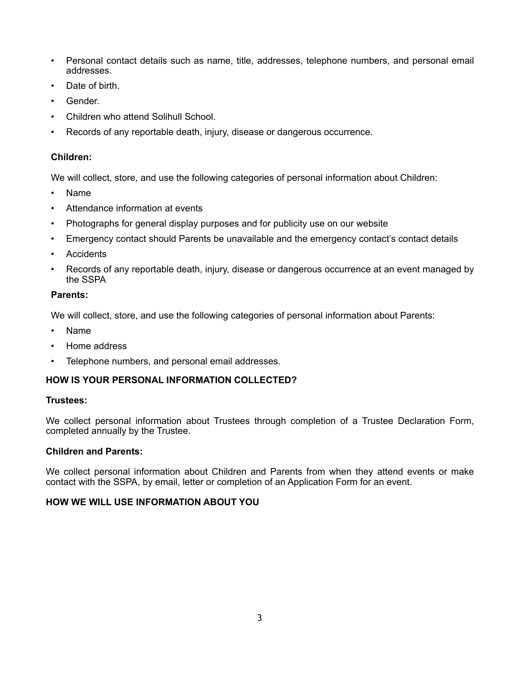- Personal contact details such as name, title, addresses, telephone numbers, and personal email addresses.
- Date of birth.
- Gender.
- Children who attend Solihull School.
- Records of any reportable death, injury, disease or dangerous occurrence.

# **Children:**

We will collect, store, and use the following categories of personal information about Children:

- Name
- Attendance information at events
- Photographs for general display purposes and for publicity use on our website
- Emergency contact should Parents be unavailable and the emergency contact's contact details
- **Accidents**
- Records of any reportable death, injury, disease or dangerous occurrence at an event managed by the SSPA

# **Parents:**

We will collect, store, and use the following categories of personal information about Parents:

- Name
- Home address
- Telephone numbers, and personal email addresses.

# **HOW IS YOUR PERSONAL INFORMATION COLLECTED?**

# **Trustees:**

We collect personal information about Trustees through completion of a Trustee Declaration Form, completed annually by the Trustee.

# **Children and Parents:**

We collect personal information about Children and Parents from when they attend events or make contact with the SSPA, by email, letter or completion of an Application Form for an event.

# **HOW WE WILL USE INFORMATION ABOUT YOU**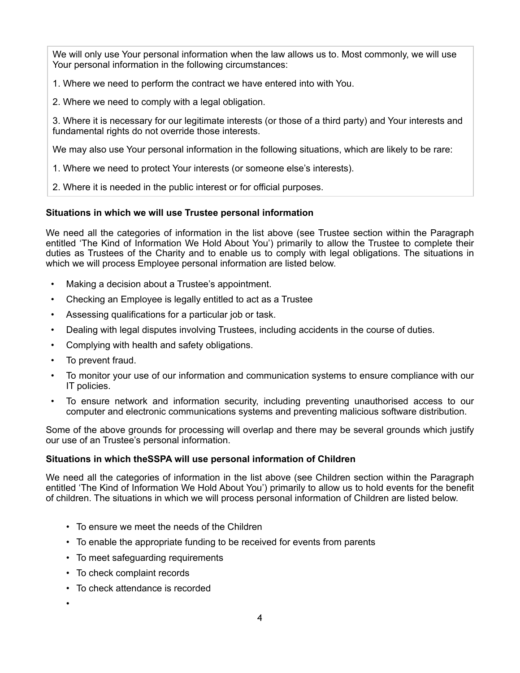We will only use Your personal information when the law allows us to. Most commonly, we will use Your personal information in the following circumstances:

1. Where we need to perform the contract we have entered into with You.

2. Where we need to comply with a legal obligation.

3. Where it is necessary for our legitimate interests (or those of a third party) and Your interests and fundamental rights do not override those interests.

We may also use Your personal information in the following situations, which are likely to be rare:

1. Where we need to protect Your interests (or someone else's interests).

2. Where it is needed in the public interest or for official purposes.

# **Situations in which we will use Trustee personal information**

We need all the categories of information in the list above (see Trustee section within the Paragraph entitled 'The Kind of Information We Hold About You') primarily to allow the Trustee to complete their duties as Trustees of the Charity and to enable us to comply with legal obligations. The situations in which we will process Employee personal information are listed below.

- Making a decision about a Trustee's appointment.
- Checking an Employee is legally entitled to act as a Trustee
- Assessing qualifications for a particular job or task.
- Dealing with legal disputes involving Trustees, including accidents in the course of duties.
- Complying with health and safety obligations.
- To prevent fraud.
- To monitor your use of our information and communication systems to ensure compliance with our IT policies.
- To ensure network and information security, including preventing unauthorised access to our computer and electronic communications systems and preventing malicious software distribution.

Some of the above grounds for processing will overlap and there may be several grounds which justify our use of an Trustee's personal information.

# **Situations in which theSSPA will use personal information of Children**

We need all the categories of information in the list above (see Children section within the Paragraph entitled 'The Kind of Information We Hold About You') primarily to allow us to hold events for the benefit of children. The situations in which we will process personal information of Children are listed below.

- To ensure we meet the needs of the Children
- To enable the appropriate funding to be received for events from parents
- To meet safeguarding requirements
- To check complaint records
- To check attendance is recorded
- •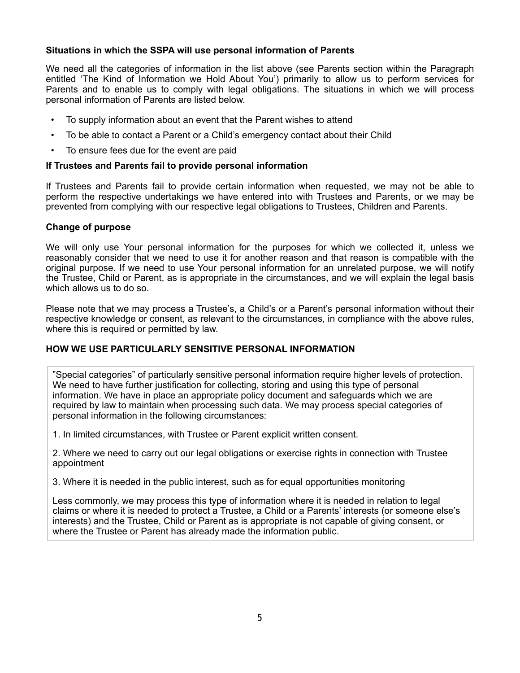### **Situations in which the SSPA will use personal information of Parents**

We need all the categories of information in the list above (see Parents section within the Paragraph entitled 'The Kind of Information we Hold About You') primarily to allow us to perform services for Parents and to enable us to comply with legal obligations. The situations in which we will process personal information of Parents are listed below.

- To supply information about an event that the Parent wishes to attend
- To be able to contact a Parent or a Child's emergency contact about their Child
- To ensure fees due for the event are paid

### **If Trustees and Parents fail to provide personal information**

If Trustees and Parents fail to provide certain information when requested, we may not be able to perform the respective undertakings we have entered into with Trustees and Parents, or we may be prevented from complying with our respective legal obligations to Trustees, Children and Parents.

### **Change of purpose**

We will only use Your personal information for the purposes for which we collected it, unless we reasonably consider that we need to use it for another reason and that reason is compatible with the original purpose. If we need to use Your personal information for an unrelated purpose, we will notify the Trustee, Child or Parent, as is appropriate in the circumstances, and we will explain the legal basis which allows us to do so.

Please note that we may process a Trustee's, a Child's or a Parent's personal information without their respective knowledge or consent, as relevant to the circumstances, in compliance with the above rules, where this is required or permitted by law.

# **HOW WE USE PARTICULARLY SENSITIVE PERSONAL INFORMATION**

"Special categories" of particularly sensitive personal information require higher levels of protection. We need to have further justification for collecting, storing and using this type of personal information. We have in place an appropriate policy document and safeguards which we are required by law to maintain when processing such data. We may process special categories of personal information in the following circumstances:

1. In limited circumstances, with Trustee or Parent explicit written consent.

2. Where we need to carry out our legal obligations or exercise rights in connection with Trustee appointment

3. Where it is needed in the public interest, such as for equal opportunities monitoring

Less commonly, we may process this type of information where it is needed in relation to legal claims or where it is needed to protect a Trustee, a Child or a Parents' interests (or someone else's interests) and the Trustee, Child or Parent as is appropriate is not capable of giving consent, or where the Trustee or Parent has already made the information public.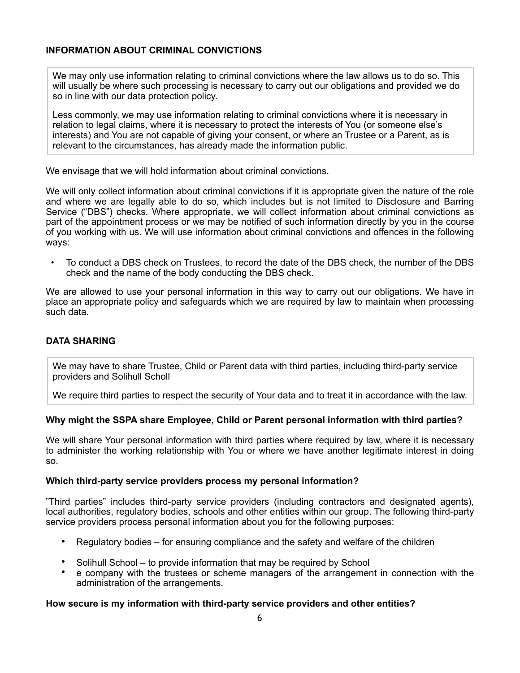# **INFORMATION ABOUT CRIMINAL CONVICTIONS**

We may only use information relating to criminal convictions where the law allows us to do so. This will usually be where such processing is necessary to carry out our obligations and provided we do so in line with our data protection policy.

Less commonly, we may use information relating to criminal convictions where it is necessary in relation to legal claims, where it is necessary to protect the interests of You (or someone else's interests) and You are not capable of giving your consent, or where an Trustee or a Parent, as is relevant to the circumstances, has already made the information public.

We envisage that we will hold information about criminal convictions.

We will only collect information about criminal convictions if it is appropriate given the nature of the role and where we are legally able to do so, which includes but is not limited to Disclosure and Barring Service ("DBS") checks. Where appropriate, we will collect information about criminal convictions as part of the appointment process or we may be notified of such information directly by you in the course of you working with us. We will use information about criminal convictions and offences in the following ways:

• To conduct a DBS check on Trustees, to record the date of the DBS check, the number of the DBS check and the name of the body conducting the DBS check.

We are allowed to use your personal information in this way to carry out our obligations. We have in place an appropriate policy and safeguards which we are required by law to maintain when processing such data.

# **DATA SHARING**

We may have to share Trustee, Child or Parent data with third parties, including third-party service providers and Solihull Scholl

We require third parties to respect the security of Your data and to treat it in accordance with the law.

# **Why might the SSPA share Employee, Child or Parent personal information with third parties?**

We will share Your personal information with third parties where required by law, where it is necessary to administer the working relationship with You or where we have another legitimate interest in doing so.

### **Which third-party service providers process my personal information?**

"Third parties" includes third-party service providers (including contractors and designated agents), local authorities, regulatory bodies, schools and other entities within our group. The following third-party service providers process personal information about you for the following purposes:

- Regulatory bodies for ensuring compliance and the safety and welfare of the children
- Solihull School to provide information that may be required by School
- e company with the trustees or scheme managers of the arrangement in connection with the administration of the arrangements.

### **How secure is my information with third-party service providers and other entities?**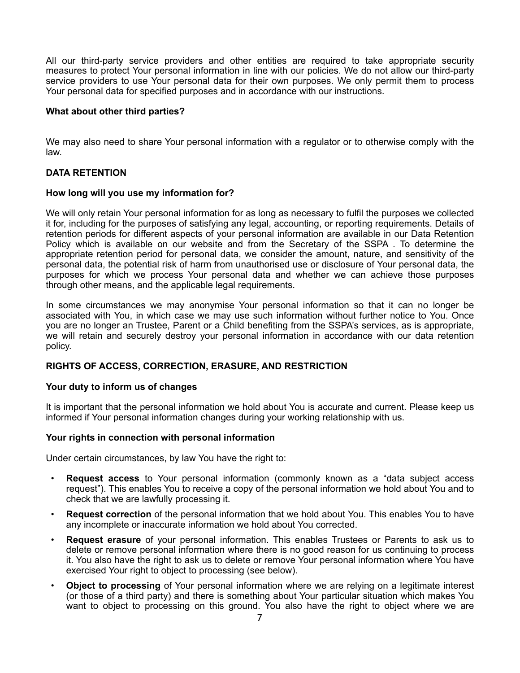All our third-party service providers and other entities are required to take appropriate security measures to protect Your personal information in line with our policies. We do not allow our third-party service providers to use Your personal data for their own purposes. We only permit them to process Your personal data for specified purposes and in accordance with our instructions.

### **What about other third parties?**

We may also need to share Your personal information with a regulator or to otherwise comply with the law.

### **DATA RETENTION**

### **How long will you use my information for?**

We will only retain Your personal information for as long as necessary to fulfil the purposes we collected it for, including for the purposes of satisfying any legal, accounting, or reporting requirements. Details of retention periods for different aspects of your personal information are available in our Data Retention Policy which is available on our website and from the Secretary of the SSPA . To determine the appropriate retention period for personal data, we consider the amount, nature, and sensitivity of the personal data, the potential risk of harm from unauthorised use or disclosure of Your personal data, the purposes for which we process Your personal data and whether we can achieve those purposes through other means, and the applicable legal requirements.

In some circumstances we may anonymise Your personal information so that it can no longer be associated with You, in which case we may use such information without further notice to You. Once you are no longer an Trustee, Parent or a Child benefiting from the SSPA's services, as is appropriate, we will retain and securely destroy your personal information in accordance with our data retention policy.

### **RIGHTS OF ACCESS, CORRECTION, ERASURE, AND RESTRICTION**

### **Your duty to inform us of changes**

It is important that the personal information we hold about You is accurate and current. Please keep us informed if Your personal information changes during your working relationship with us.

### **Your rights in connection with personal information**

Under certain circumstances, by law You have the right to:

- **Request access** to Your personal information (commonly known as a "data subject access request"). This enables You to receive a copy of the personal information we hold about You and to check that we are lawfully processing it.
- **Request correction** of the personal information that we hold about You. This enables You to have any incomplete or inaccurate information we hold about You corrected.
- **Request erasure** of your personal information. This enables Trustees or Parents to ask us to delete or remove personal information where there is no good reason for us continuing to process it. You also have the right to ask us to delete or remove Your personal information where You have exercised Your right to object to processing (see below).
- **Object to processing** of Your personal information where we are relying on a legitimate interest (or those of a third party) and there is something about Your particular situation which makes You want to object to processing on this ground. You also have the right to object where we are